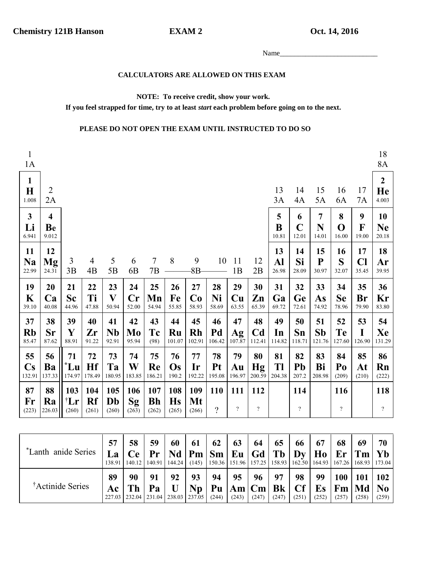**EXAM2** 

Oct. 14, 2016

### CALCULATORS ARE ALLOWED ON THIS EXAM

#### NOTE: To receive credit, show your work.

If you feel strapped for time, try to at least *start* each problem before going on to the next.

### PLEASE DO NOT OPEN THE EXAM UNTIL INSTRUCTED TO DO SO

| $\mathbf{1}$<br>1A                     |                                        |                            |                      |                             |                              |                           |                           |                    |                          |                                 |                                 |                    |                                 |                              |                           |                             | 18<br>8A                        |
|----------------------------------------|----------------------------------------|----------------------------|----------------------|-----------------------------|------------------------------|---------------------------|---------------------------|--------------------|--------------------------|---------------------------------|---------------------------------|--------------------|---------------------------------|------------------------------|---------------------------|-----------------------------|---------------------------------|
| $\mathbf{1}$<br>$\mathbf H$<br>1.008   | $\overline{2}$<br>2A                   |                            |                      |                             |                              |                           |                           |                    |                          |                                 |                                 | 13<br>3A           | 14<br>4A                        | 15<br>5A                     | 16<br>6A                  | 17<br>7A                    | $\boldsymbol{2}$<br>He<br>4.003 |
| $\mathbf{3}$<br>Li<br>6.941            | $\overline{\mathbf{4}}$<br>Be<br>9.012 |                            |                      |                             |                              |                           |                           |                    |                          |                                 |                                 | 5<br>B<br>10.81    | 6<br>$\mathbf C$<br>12.01       | $\overline{7}$<br>N<br>14.01 | 8<br>O<br>16.00           | 9<br>F<br>19.00             | 10<br><b>Ne</b><br>20.18        |
| 11<br><b>Na</b><br>22.99               | 12<br>$\mathbf{M}\mathbf{g}$<br>24.31  | 3<br>3B                    | $\overline{4}$<br>4B | 5<br>5B                     | 6<br>6 <sub>B</sub>          | $\overline{7}$<br>7B      | 8                         | 9<br>8B            | 10                       | 11<br>1B                        | 12<br>2B                        | 13<br>Al<br>26.98  | 14<br>Si<br>28.09               | 15<br>${\bf P}$<br>30.97     | 16<br>S<br>32.07          | 17<br>$\mathbf{C}$<br>35.45 | 18<br>Ar<br>39.95               |
| 19<br>K<br>39.10                       | 20<br>Ca<br>40.08                      | 21<br><b>Sc</b><br>44.96   | 22<br>Ti<br>47.88    | 23<br>$\mathbf{V}$<br>50.94 | 24<br>$\mathbf{Cr}$<br>52.00 | 25<br>Mn<br>54.94         | 26<br>Fe<br>55.85         | 27<br>Co<br>58.93  | 28<br>Ni<br>58.69        | 29<br>Cu<br>63.55               | 30<br>Zn<br>65.39               | 31<br>Ga<br>69.72  | 32<br>Ge<br>72.61               | 33<br>As<br>74.92            | 34<br><b>Se</b><br>78.96  | 35<br><b>Br</b><br>79.90    | 36<br>Kr<br>83.80               |
| 37<br><b>Rb</b><br>85.47               | 38<br><b>Sr</b><br>87.62               | 39<br>$\mathbf Y$<br>88.91 | 40<br>Zr<br>91.22    | 41<br><b>Nb</b><br>92.91    | 42<br>Mo<br>95.94            | 43<br>Tc<br>(98)          | 44<br>Ru<br>101.07        | 45<br>Rh<br>102.91 | 46<br>Pd<br>106.42       | 47<br>Ag<br>107.87              | 48<br>C <sub>d</sub><br>112.41  | 49<br>In<br>114.82 | 50<br>Sn<br>118.71              | 51<br><b>Sb</b><br>121.76    | 52<br><b>Te</b><br>127.60 | 53<br>I<br>126.90           | 54<br>Xe<br>131.29              |
| 55<br>$\mathbf{C}\mathbf{s}$<br>132.91 | 56<br>Ba<br>137.33                     | 71<br>$^*$ Lu<br>174.97    | 72<br>Hf<br>178.49   | 73<br>Ta<br>180.95          | 74<br>W<br>183.85            | 75<br>Re<br>186.21        | 76<br>Os<br>190.2         | 77<br>Ir<br>192.22 | 78<br>Pt<br>195.08       | 79<br>Au<br>196.97              | 80<br><b>Hg</b><br>200.59       | 81<br>Tl<br>204.38 | 82<br>Pb<br>207.2               | 83<br>Bi<br>208.98           | 84<br>Po<br>(209)         | 85<br>At<br>(210)           | 86<br>Rn<br>(222)               |
| 87<br>Fr<br>(223)                      | 88<br>Ra<br>226.03                     | 103<br>†Lr<br>(260)        | 104<br>Rf<br>(261)   | 105<br>Db<br>(260)          | 106<br>Sg<br>(263)           | 107<br><b>Bh</b><br>(262) | 108<br><b>Hs</b><br>(265) | 109<br>Mt<br>(266) | <b>110</b><br>$\ddot{?}$ | 111<br>$\overline{\mathcal{E}}$ | 112<br>$\overline{\mathcal{L}}$ |                    | 114<br>$\overline{\mathcal{L}}$ |                              | 116<br>$\boldsymbol{?}$   |                             | 118<br>$\overline{?}$           |

| *Lanth anide Series          | 57<br>La<br>138.91 | 58<br><b>Ce</b>                                  | 59<br>Pr<br>140.12   140.91   144.24   (145)   150.36   151.96   157.25   158.93   162.50   164.93   167.26   168.93   173.04 | 60        | 61<br>$\vert$ Nd $\vert$ Pm $\vert$ Sm $\vert$ Eu $\vert$ Gd $\vert$ Tb $\vert$ Dy $\vert$ Ho $\vert$ Er $\vert$ Tm $\vert$ Yb | 62                                                               | 63                  | 64          | 65          | 66          | 67          | 68    | 69                               | 70    |
|------------------------------|--------------------|--------------------------------------------------|-------------------------------------------------------------------------------------------------------------------------------|-----------|--------------------------------------------------------------------------------------------------------------------------------|------------------------------------------------------------------|---------------------|-------------|-------------|-------------|-------------|-------|----------------------------------|-------|
| <sup>†</sup> Actinide Series | 89<br>Ac           | 90<br>227.03   232.04   231.04   238.03   237.05 | 91<br>Pa                                                                                                                      | 92<br>– U | 93                                                                                                                             | 94<br>$Np   Pu   Am   Cm   Bk   Cf   Es   Fm   Md   No$<br>(244) | $95 \vert$<br>(243) | 96<br>(247) | 97<br>(247) | 98<br>(251) | 99<br>(252) | (257) | $100 \mid 101 \mid 102$<br>(258) | (259) |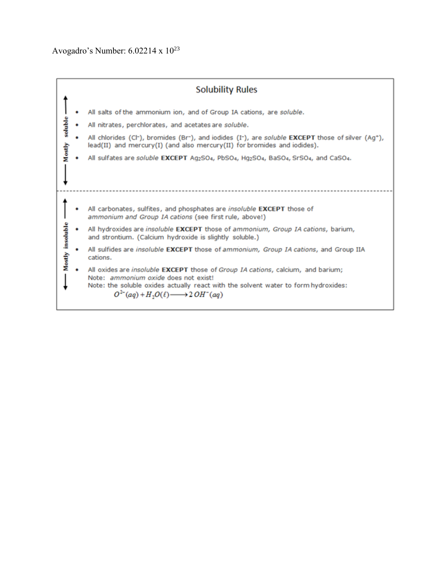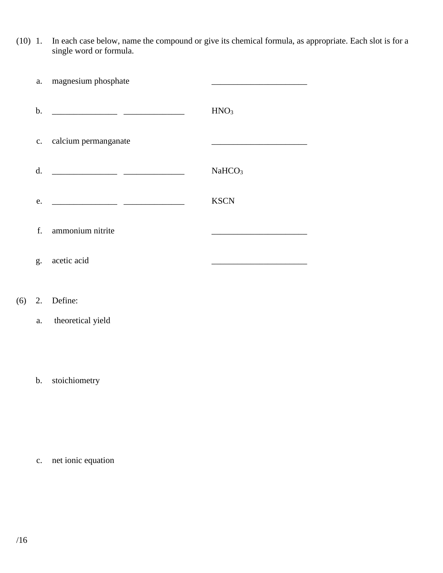(10) 1. In each case below, name the compound or give its chemical formula, as appropriate. Each slot is for a single word or formula.

| a.            | magnesium phosphate                                                                                                       |                                                                                                                                                                                                                                      |
|---------------|---------------------------------------------------------------------------------------------------------------------------|--------------------------------------------------------------------------------------------------------------------------------------------------------------------------------------------------------------------------------------|
| $\mathbf b$ . | <u> 1980 - Jan James James Jan James James James James James James James James James James James James James James Ja</u> | HNO <sub>3</sub>                                                                                                                                                                                                                     |
| c.            | calcium permanganate                                                                                                      | <u> 1980 - Johann John Harry Harry Harry Harry Harry Harry Harry Harry Harry Harry Harry Harry Harry Harry Harry Harry Harry Harry Harry Harry Harry Harry Harry Harry Harry Harry Harry Harry Harry Harry Harry Harry Harry Har</u> |
| d.            |                                                                                                                           | NaHCO <sub>3</sub>                                                                                                                                                                                                                   |
| e.            |                                                                                                                           | <b>KSCN</b>                                                                                                                                                                                                                          |
| f.            | ammonium nitrite                                                                                                          |                                                                                                                                                                                                                                      |
| g.            | acetic acid                                                                                                               |                                                                                                                                                                                                                                      |

# (6) 2. Define:

## a. theoretical yield

## b. stoichiometry

c. net ionic equation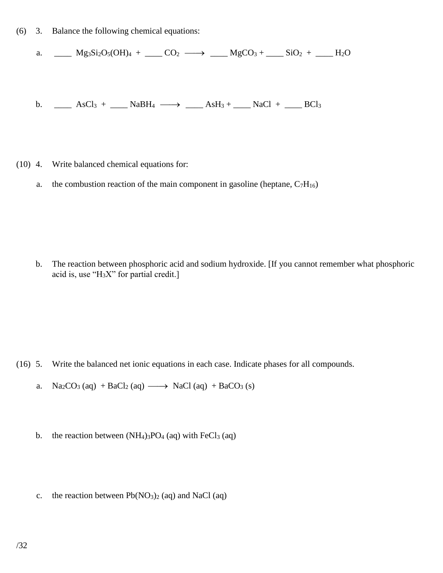(6) 3. Balance the following chemical equations:

a. MS<sub>3</sub>Si<sub>2</sub>O<sub>5</sub>(OH)<sub>4</sub> + CO<sub>2</sub> 
$$
\longrightarrow
$$
 MgCO<sub>3</sub> + SiO<sub>2</sub> + – H<sub>2</sub>O

b. \_\_\_\_ AsCl<sub>3</sub> + \_\_\_\_ NaBH<sub>4</sub>  $\longrightarrow$  \_\_\_\_ AsH<sub>3</sub> + \_\_\_\_ NaCl + \_\_\_\_ BCl<sub>3</sub>

- (10) 4. Write balanced chemical equations for:
	- a. the combustion reaction of the main component in gasoline (heptane,  $C_7H_{16}$ )

b. The reaction between phosphoric acid and sodium hydroxide. [If you cannot remember what phosphoric acid is, use " $H_3X$ " for partial credit.]

- (16) 5. Write the balanced net ionic equations in each case. Indicate phases for all compounds.
	- a.  $Na_2CO_3$  (aq)  $+ BaCl_2$  (aq)  $\longrightarrow$  NaCl (aq)  $+ BaCO_3$  (s)
	- b. the reaction between  $(NH_4)_3PO_4$  (aq) with FeCl<sub>3</sub> (aq)
	- c. the reaction between  $Pb(NO<sub>3</sub>)<sub>2</sub>$  (aq) and NaCl (aq)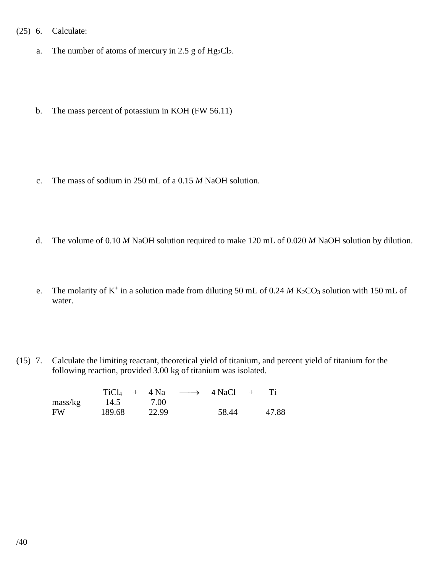### (25) 6. Calculate:

- a. The number of atoms of mercury in 2.5 g of  $Hg_2Cl_2$ .
- b. The mass percent of potassium in KOH (FW 56.11)

- c. The mass of sodium in 250 mL of a 0.15 *M* NaOH solution.
- d. The volume of 0.10 *M* NaOH solution required to make 120 mL of 0.020 *M* NaOH solution by dilution.
- e. The molarity of  $K^+$  in a solution made from diluting 50 mL of 0.24 *M* K<sub>2</sub>CO<sub>3</sub> solution with 150 mL of water.
- (15) 7. Calculate the limiting reactant, theoretical yield of titanium, and percent yield of titanium for the following reaction, provided 3.00 kg of titanium was isolated.

|                     | $TiCl4 + 4 Na$ |       | $\longrightarrow$ 4 NaCl | $+$ |       |
|---------------------|----------------|-------|--------------------------|-----|-------|
| $\frac{mass/kg}{g}$ | 14.5           | 7.00  |                          |     |       |
| <b>FW</b>           | 189.68         | 22.99 | 58.44                    |     | 47.88 |